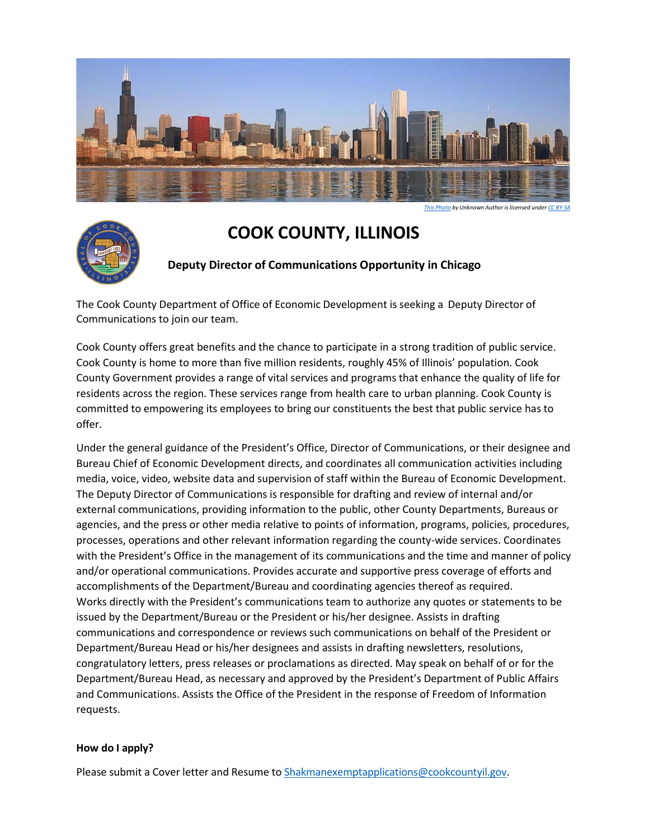

# **COOK COUNTY, ILLINOIS**

# **Deputy Director of Communications Opportunity in Chicago**

The Cook County Department of Office of Economic Development is seeking a Deputy Director of Communications to join our team.

Cook County offers great benefits and the chance to participate in a strong tradition of public service. Cook County is home to more than five million residents, roughly 45% of Illinois' population. Cook County Government provides a range of vital services and programs that enhance the quality of life for residents across the region. These services range from health care to urban planning. Cook County is committed to empowering its employees to bring our constituents the best that public service has to offer.

Under the general guidance of the President's Office, Director of Communications, or their designee and Bureau Chief of Economic Development directs, and coordinates all communication activities including media, voice, video, website data and supervision of staff within the Bureau of Economic Development. The Deputy Director of Communications is responsible for drafting and review of internal and/or external communications, providing information to the public, other County Departments, Bureaus or agencies, and the press or other media relative to points of information, programs, policies, procedures, processes, operations and other relevant information regarding the county-wide services. Coordinates with the President's Office in the management of its communications and the time and manner of policy and/or operational communications. Provides accurate and supportive press coverage of efforts and accomplishments of the Department/Bureau and coordinating agencies thereof as required. Works directly with the President's communications team to authorize any quotes or statements to be issued by the Department/Bureau or the President or his/her designee. Assists in drafting communications and correspondence or reviews such communications on behalf of the President or Department/Bureau Head or his/her designees and assists in drafting newsletters, resolutions, congratulatory letters, press releases or proclamations as directed. May speak on behalf of or for the Department/Bureau Head, as necessary and approved by the President's Department of Public Affairs and Communications. Assists the Office of the President in the response of Freedom of Information requests.

### **How do I apply?**

Please submit a Cover letter and Resume to [Shakmanexemptapplications@cookcountyil.gov.](mailto:Shakmanexemptapplications@cookcountyil.gov)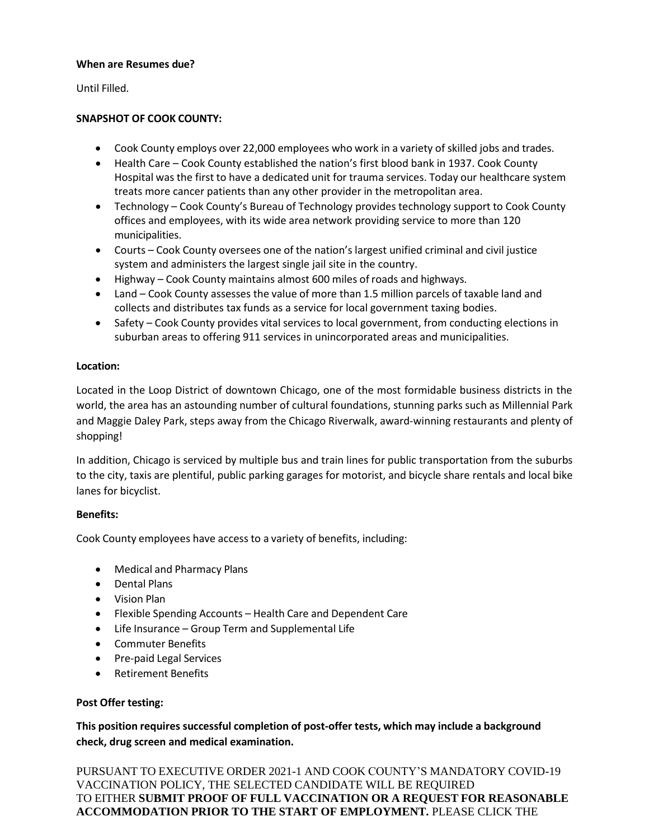### **When are Resumes due?**

Until Filled.

## **SNAPSHOT OF COOK COUNTY:**

- Cook County employs over 22,000 employees who work in a variety of skilled jobs and trades.
- Health Care Cook County established the nation's first blood bank in 1937. Cook County Hospital was the first to have a dedicated unit for trauma services. Today our healthcare system treats more cancer patients than any other provider in the metropolitan area.
- Technology Cook County's Bureau of Technology provides technology support to Cook County offices and employees, with its wide area network providing service to more than 120 municipalities.
- Courts Cook County oversees one of the nation's largest unified criminal and civil justice system and administers the largest single jail site in the country.
- Highway Cook County maintains almost 600 miles of roads and highways.
- Land Cook County assesses the value of more than 1.5 million parcels of taxable land and collects and distributes tax funds as a service for local government taxing bodies.
- Safety Cook County provides vital services to local government, from conducting elections in suburban areas to offering 911 services in unincorporated areas and municipalities.

### **Location:**

Located in the Loop District of downtown Chicago, one of the most formidable business districts in the world, the area has an astounding number of cultural foundations, stunning parks such as Millennial Park and Maggie Daley Park, steps away from the Chicago Riverwalk, award-winning restaurants and plenty of shopping!

In addition, Chicago is serviced by multiple bus and train lines for public transportation from the suburbs to the city, taxis are plentiful, public parking garages for motorist, and bicycle share rentals and local bike lanes for bicyclist.

### **Benefits:**

Cook County employees have access to a variety of benefits, including:

- Medical and Pharmacy Plans
- Dental Plans
- Vision Plan
- Flexible Spending Accounts Health Care and Dependent Care
- Life Insurance Group Term and Supplemental Life
- Commuter Benefits
- Pre-paid Legal Services
- Retirement Benefits

### **Post Offer testing:**

**This position requires successful completion of post-offer tests, which may include a background check, drug screen and medical examination.**

PURSUANT TO EXECUTIVE ORDER 2021-1 AND COOK COUNTY'S MANDATORY COVID-19 VACCINATION POLICY, THE SELECTED CANDIDATE WILL BE REQUIRED TO EITHER **SUBMIT PROOF OF FULL VACCINATION OR A REQUEST FOR REASONABLE ACCOMMODATION PRIOR TO THE START OF EMPLOYMENT.** PLEASE CLICK THE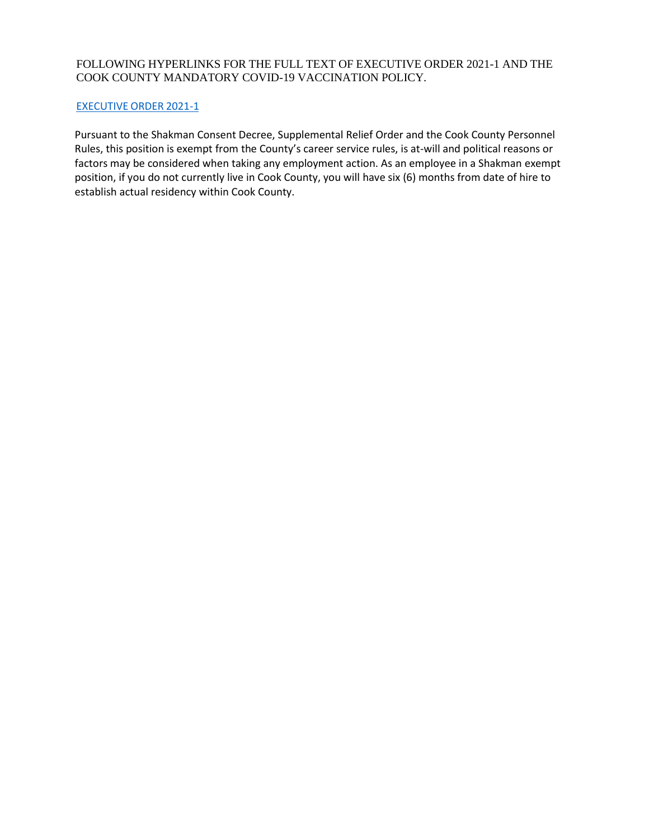### FOLLOWING HYPERLINKS FOR THE FULL TEXT OF EXECUTIVE ORDER 2021-1 AND THE COOK COUNTY MANDATORY COVID-19 VACCINATION POLICY.

#### [EXECUTIVE](https://www.cookcountyil.gov/agency/office-president) ORDER 2021-1

Pursuant to the Shakman Consent Decree, Supplemental Relief Order and the Cook County Personnel Rules, this position is exempt from the County's career service rules, is at-will and political reasons or factors may be considered when taking any employment action. As an employee in a Shakman exempt position, if you do not currently live in Cook County, you will have six (6) months from date of hire to establish actual residency within Cook County.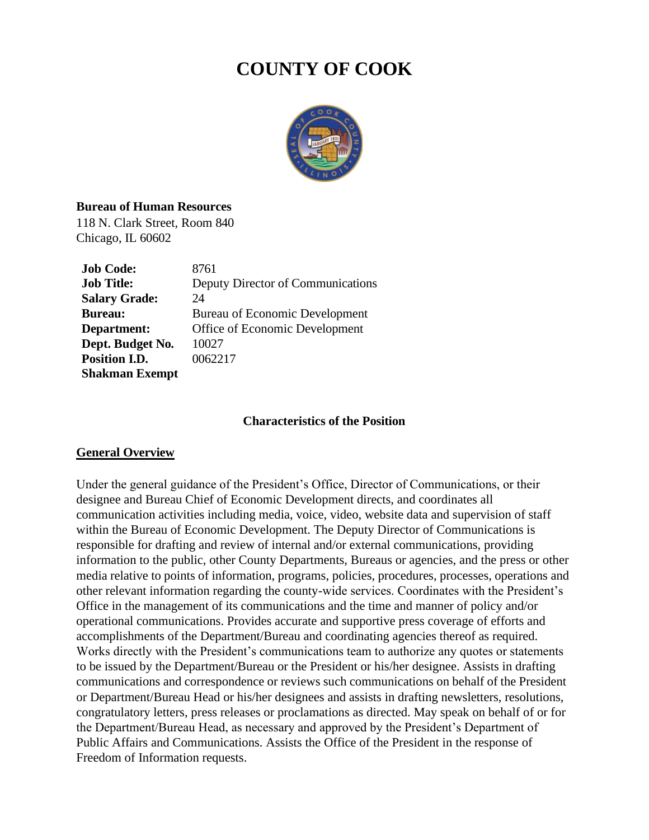# **COUNTY OF COOK**



## **Bureau of Human Resources**

118 N. Clark Street, Room 840 Chicago, IL 60602

| <b>Job Code:</b>      | 8761                                  |
|-----------------------|---------------------------------------|
| <b>Job Title:</b>     | Deputy Director of Communications     |
| <b>Salary Grade:</b>  | 24                                    |
| <b>Bureau:</b>        | <b>Bureau of Economic Development</b> |
| Department:           | Office of Economic Development        |
| Dept. Budget No.      | 10027                                 |
| Position I.D.         | 0062217                               |
| <b>Shakman Exempt</b> |                                       |

## **Characteristics of the Position**

## **General Overview**

Under the general guidance of the President's Office, Director of Communications, or their designee and Bureau Chief of Economic Development directs, and coordinates all communication activities including media, voice, video, website data and supervision of staff within the Bureau of Economic Development. The Deputy Director of Communications is responsible for drafting and review of internal and/or external communications, providing information to the public, other County Departments, Bureaus or agencies, and the press or other media relative to points of information, programs, policies, procedures, processes, operations and other relevant information regarding the county-wide services. Coordinates with the President's Office in the management of its communications and the time and manner of policy and/or operational communications. Provides accurate and supportive press coverage of efforts and accomplishments of the Department/Bureau and coordinating agencies thereof as required. Works directly with the President's communications team to authorize any quotes or statements to be issued by the Department/Bureau or the President or his/her designee. Assists in drafting communications and correspondence or reviews such communications on behalf of the President or Department/Bureau Head or his/her designees and assists in drafting newsletters, resolutions, congratulatory letters, press releases or proclamations as directed. May speak on behalf of or for the Department/Bureau Head, as necessary and approved by the President's Department of Public Affairs and Communications. Assists the Office of the President in the response of Freedom of Information requests.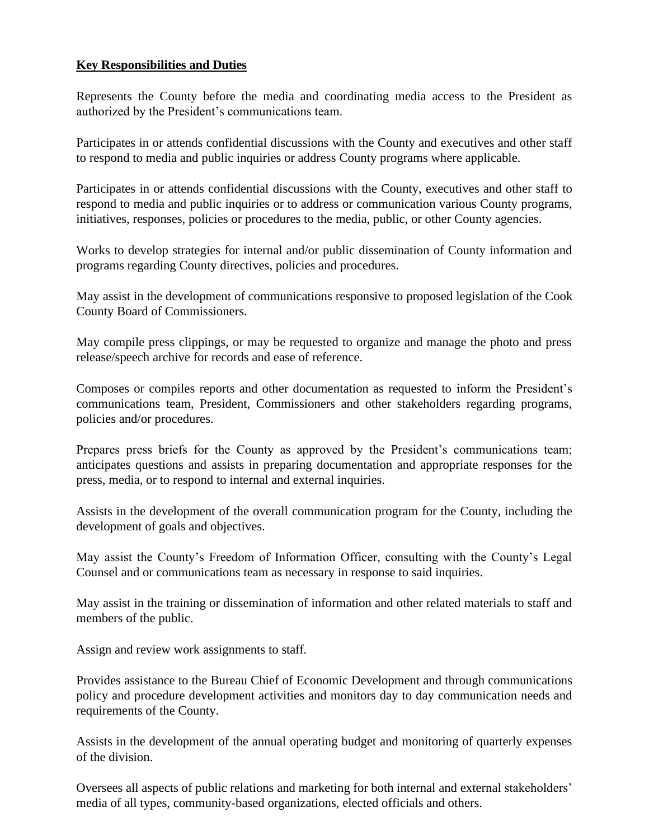# **Key Responsibilities and Duties**

Represents the County before the media and coordinating media access to the President as authorized by the President's communications team.

Participates in or attends confidential discussions with the County and executives and other staff to respond to media and public inquiries or address County programs where applicable.

Participates in or attends confidential discussions with the County, executives and other staff to respond to media and public inquiries or to address or communication various County programs, initiatives, responses, policies or procedures to the media, public, or other County agencies.

Works to develop strategies for internal and/or public dissemination of County information and programs regarding County directives, policies and procedures.

May assist in the development of communications responsive to proposed legislation of the Cook County Board of Commissioners.

May compile press clippings, or may be requested to organize and manage the photo and press release/speech archive for records and ease of reference.

Composes or compiles reports and other documentation as requested to inform the President's communications team, President, Commissioners and other stakeholders regarding programs, policies and/or procedures.

Prepares press briefs for the County as approved by the President's communications team; anticipates questions and assists in preparing documentation and appropriate responses for the press, media, or to respond to internal and external inquiries.

Assists in the development of the overall communication program for the County, including the development of goals and objectives.

May assist the County's Freedom of Information Officer, consulting with the County's Legal Counsel and or communications team as necessary in response to said inquiries.

May assist in the training or dissemination of information and other related materials to staff and members of the public.

Assign and review work assignments to staff.

Provides assistance to the Bureau Chief of Economic Development and through communications policy and procedure development activities and monitors day to day communication needs and requirements of the County.

Assists in the development of the annual operating budget and monitoring of quarterly expenses of the division.

Oversees all aspects of public relations and marketing for both internal and external stakeholders' media of all types, community-based organizations, elected officials and others.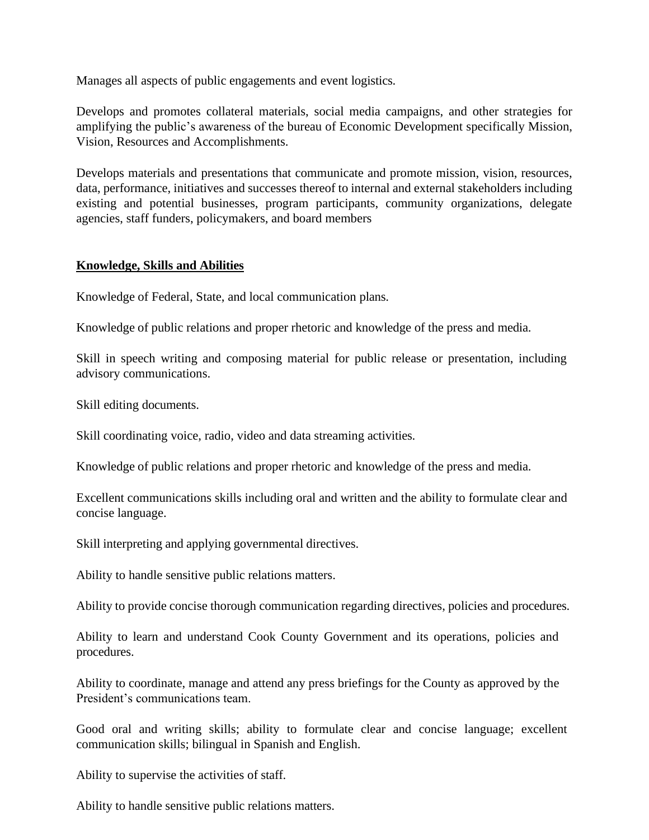Manages all aspects of public engagements and event logistics.

Develops and promotes collateral materials, social media campaigns, and other strategies for amplifying the public's awareness of the bureau of Economic Development specifically Mission, Vision, Resources and Accomplishments.

Develops materials and presentations that communicate and promote mission, vision, resources, data, performance, initiatives and successes thereof to internal and external stakeholders including existing and potential businesses, program participants, community organizations, delegate agencies, staff funders, policymakers, and board members

# **Knowledge, Skills and Abilities**

Knowledge of Federal, State, and local communication plans.

Knowledge of public relations and proper rhetoric and knowledge of the press and media.

Skill in speech writing and composing material for public release or presentation, including advisory communications.

Skill editing documents.

Skill coordinating voice, radio, video and data streaming activities.

Knowledge of public relations and proper rhetoric and knowledge of the press and media.

Excellent communications skills including oral and written and the ability to formulate clear and concise language.

Skill interpreting and applying governmental directives.

Ability to handle sensitive public relations matters.

Ability to provide concise thorough communication regarding directives, policies and procedures.

Ability to learn and understand Cook County Government and its operations, policies and procedures.

Ability to coordinate, manage and attend any press briefings for the County as approved by the President's communications team.

Good oral and writing skills; ability to formulate clear and concise language; excellent communication skills; bilingual in Spanish and English.

Ability to supervise the activities of staff.

Ability to handle sensitive public relations matters.